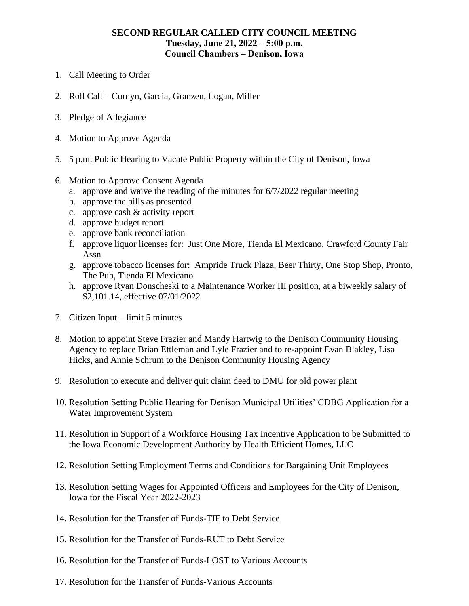## **SECOND REGULAR CALLED CITY COUNCIL MEETING Tuesday, June 21, 2022 ‒ 5:00 p.m. Council Chambers ‒ Denison, Iowa**

- 1. Call Meeting to Order
- 2. Roll Call Curnyn, Garcia, Granzen, Logan, Miller
- 3. Pledge of Allegiance
- 4. Motion to Approve Agenda
- 5. 5 p.m. Public Hearing to Vacate Public Property within the City of Denison, Iowa
- 6. Motion to Approve Consent Agenda
	- a. approve and waive the reading of the minutes for 6/7/2022 regular meeting
	- b. approve the bills as presented
	- c. approve cash & activity report
	- d. approve budget report
	- e. approve bank reconciliation
	- f. approve liquor licenses for: Just One More, Tienda El Mexicano, Crawford County Fair Assn
	- g. approve tobacco licenses for: Ampride Truck Plaza, Beer Thirty, One Stop Shop, Pronto, The Pub, Tienda El Mexicano
	- h. approve Ryan Donscheski to a Maintenance Worker III position, at a biweekly salary of \$2,101.14, effective 07/01/2022
- 7. Citizen Input limit 5 minutes
- 8. Motion to appoint Steve Frazier and Mandy Hartwig to the Denison Community Housing Agency to replace Brian Ettleman and Lyle Frazier and to re-appoint Evan Blakley, Lisa Hicks, and Annie Schrum to the Denison Community Housing Agency
- 9. Resolution to execute and deliver quit claim deed to DMU for old power plant
- 10. Resolution Setting Public Hearing for Denison Municipal Utilities' CDBG Application for a Water Improvement System
- 11. Resolution in Support of a Workforce Housing Tax Incentive Application to be Submitted to the Iowa Economic Development Authority by Health Efficient Homes, LLC
- 12. Resolution Setting Employment Terms and Conditions for Bargaining Unit Employees
- 13. Resolution Setting Wages for Appointed Officers and Employees for the City of Denison, Iowa for the Fiscal Year 2022-2023
- 14. Resolution for the Transfer of Funds-TIF to Debt Service
- 15. Resolution for the Transfer of Funds-RUT to Debt Service
- 16. Resolution for the Transfer of Funds-LOST to Various Accounts
- 17. Resolution for the Transfer of Funds-Various Accounts